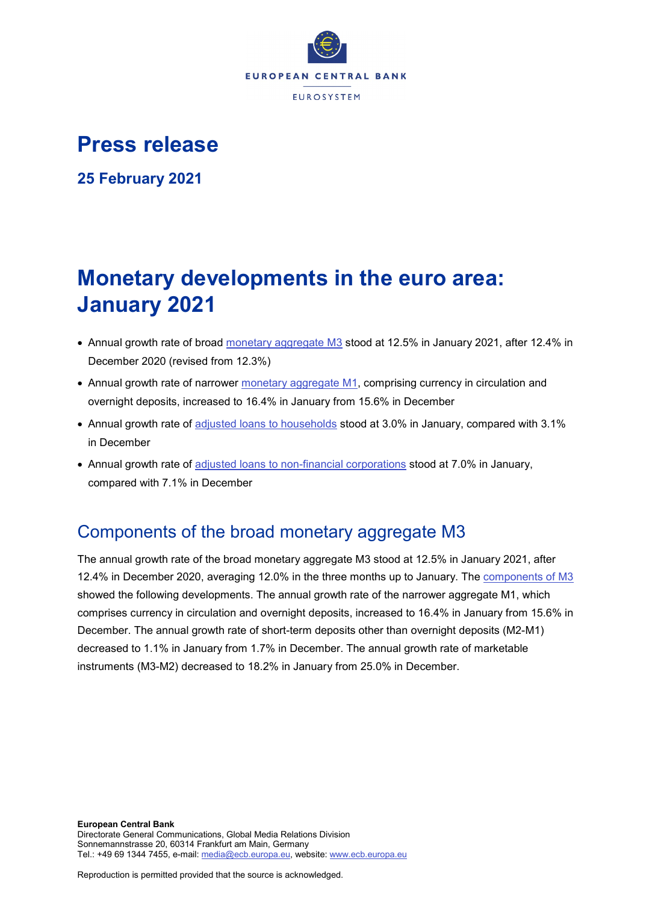

# **Press release**

**25 February 2021**

# **Monetary developments in the euro area: January 2021**

- Annual growth rate of broad [monetary aggregate M3](http://sdw.ecb.europa.eu/browseSelection.do?type=series&q=BSI.M.U2.Y.V.M30.X.I.U2.2300.Z01.A&node=SEARCHRESULTS) stood at 12.5% in January 2021, after 12.4% in December 2020 (revised from 12.3%)
- Annual growth rate of narrower [monetary aggregate M1,](http://sdw.ecb.europa.eu/browseSelection.do?type=series&q=BSI.M.U2.Y.V.M10.X.I.U2.2300.Z01.A&node=SEARCHRESULTS) comprising currency in circulation and overnight deposits, increased to 16.4% in January from 15.6% in December
- Annual growth rate of [adjusted loans to households](http://sdw.ecb.europa.eu/browseSelection.do?type=series&q=BSI.M.U2.Y.U.A20T.A.I.U2.2250.Z01.A&node=SEARCHRESULTS) stood at 3.0% in January, compared with 3.1% in December
- Annual growth rate of [adjusted loans to non-financial corporations](http://sdw.ecb.europa.eu/browseSelection.do?type=series&q=BSI.M.U2.Y.U.A20T.A.I.U2.2240.Z01.A&node=SEARCHRESULTS) stood at 7.0% in January, compared with 7.1% in December

## Components of the broad monetary aggregate M3

The annual growth rate of the broad monetary aggregate M3 stood at 12.5% in January 2021, after 12.4% in December 2020, averaging 12.0% in the three months up to January. The [components of M3](http://sdw.ecb.europa.eu/browseSelection.do?type=series&q=BSI.M.U2.Y.V.M30.X.I.U2.2300.Z01.A+BSI.M.U2.Y.V.M10.X.I.U2.2300.Z01.A+BSI.M.U2.Y.V.L2A.M.I.U2.2300.Z01.A+BSI.M.U2.Y.V.LT3.L.I.U2.2300.Z01.A&node=SEARCHRESULTS) showed the following developments. The annual growth rate of the narrower aggregate M1, which comprises currency in circulation and overnight deposits, increased to 16.4% in January from 15.6% in December. The annual growth rate of short-term deposits other than overnight deposits (M2-M1) decreased to 1.1% in January from 1.7% in December. The annual growth rate of marketable instruments (M3-M2) decreased to 18.2% in January from 25.0% in December.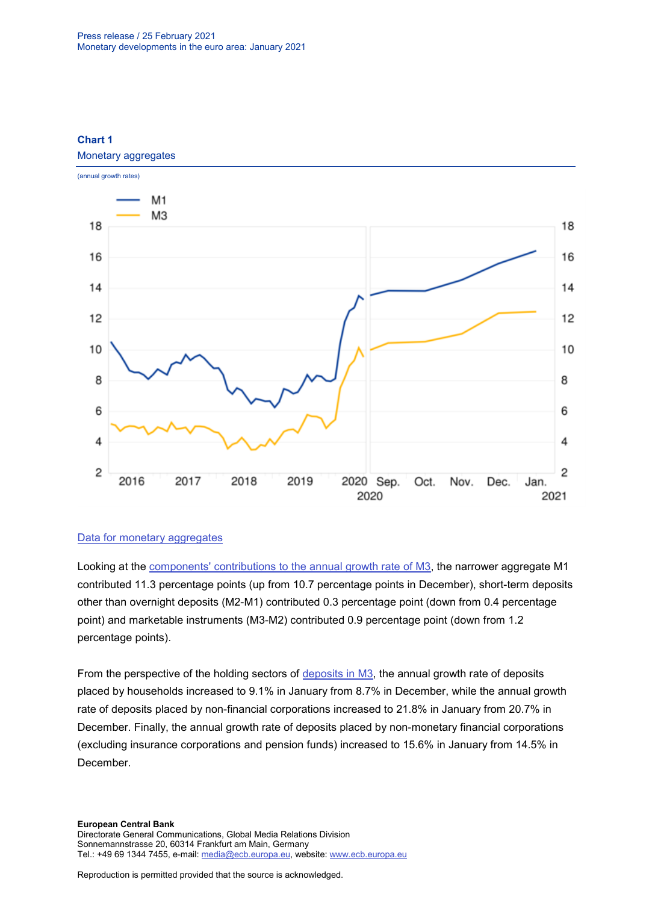

## **Chart 1**

#### [Data for monetary aggregates](http://sdw.ecb.europa.eu/browseSelection.do?type=series&q=BSI.M.U2.Y.V.M30.X.I.U2.2300.Z01.A+BSI.M.U2.Y.V.M10.X.I.U2.2300.Z01.A&node=SEARCHRESULTS)

Looking at the [components' contributions to the annual growth rate of M3,](http://sdw.ecb.europa.eu/browseSelection.do?type=series&q=BSI.M.U2.Y.V.M10.X.Q.U2.2300.Z01.F+BSI.M.U2.Y.V.L2A.M.Q.U2.2300.Z01.F+BSI.M.U2.Y.V.LT3.L.Q.U2.2300.Z01.F&node=SEARCHRESULTS) the narrower aggregate M1 contributed 11.3 percentage points (up from 10.7 percentage points in December), short-term deposits other than overnight deposits (M2-M1) contributed 0.3 percentage point (down from 0.4 percentage point) and marketable instruments (M3-M2) contributed 0.9 percentage point (down from 1.2 percentage points).

From the perspective of the holding sectors of [deposits in M3,](http://sdw.ecb.europa.eu/browseSelection.do?type=series&q=BSI.M.U2.Y.V.L2C.M.I.U2.2250.Z01.A+BSI.M.U2.Y.V.L2C.M.I.U2.2240.Z01.A+BSI.M.U2.Y.V.L2C.M.I.U2.2210.Z01.A&node=SEARCHRESULTS) the annual growth rate of deposits placed by households increased to 9.1% in January from 8.7% in December, while the annual growth rate of deposits placed by non-financial corporations increased to 21.8% in January from 20.7% in December. Finally, the annual growth rate of deposits placed by non-monetary financial corporations (excluding insurance corporations and pension funds) increased to 15.6% in January from 14.5% in December.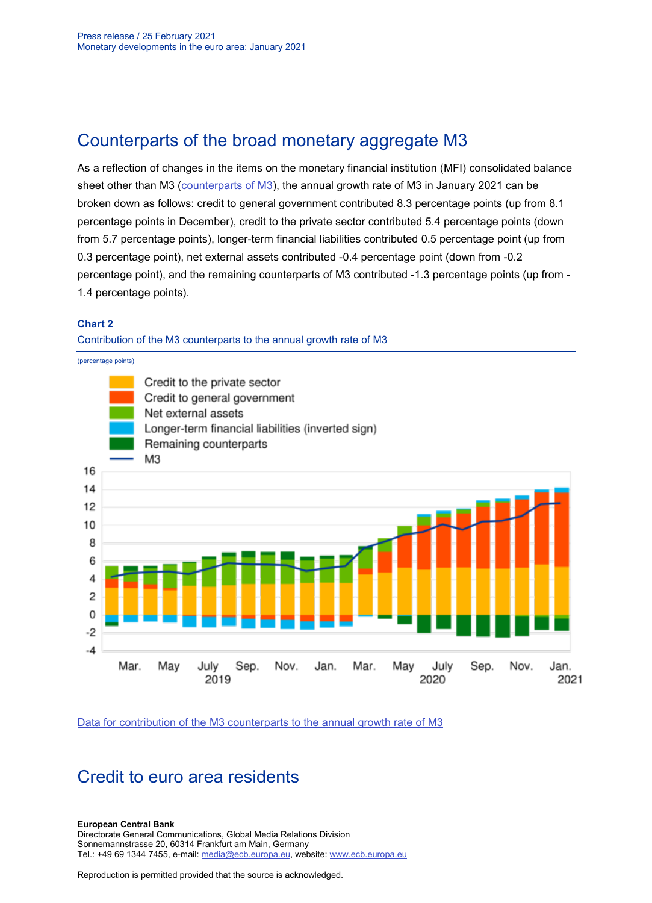### Counterparts of the broad monetary aggregate M3

As a reflection of changes in the items on the monetary financial institution (MFI) consolidated balance sheet other than M3 [\(counterparts of M3\)](http://sdw.ecb.europa.eu/browseSelection.do?type=series&q=BSI.M.U2.Y.V.M30.X.I.U2.2300.Z01.A+BSI.M.U2.Y.U.LT2.X.Q.Z5.0000.Z01.F+BSI.M.U2.Y.U.A80.A.Q.U4.0000.Z01.F+BSI.M.U2.Y.U.AT2.A.Q.U2.2100.Z01.F+BSI.M.U2.Y.U.AT2.A.Q.U2.2200.Z01.F+BSI.M.U2.Y.U.R31A.X.Q.Z5.0000.Z01.F&node=SEARCHRESULTS), the annual growth rate of M3 in January 2021 can be broken down as follows: credit to general government contributed 8.3 percentage points (up from 8.1 percentage points in December), credit to the private sector contributed 5.4 percentage points (down from 5.7 percentage points), longer-term financial liabilities contributed 0.5 percentage point (up from 0.3 percentage point), net external assets contributed -0.4 percentage point (down from -0.2 percentage point), and the remaining counterparts of M3 contributed -1.3 percentage points (up from - 1.4 percentage points).

#### **Chart 2**

Contribution of the M3 counterparts to the annual growth rate of M3



[Data for contribution of the M3 counterparts to the annual growth rate of M3](http://sdw.ecb.europa.eu/browseSelection.do?type=series&q=BSI.M.U2.Y.V.M30.X.I.U2.2300.Z01.A+BSI.M.U2.Y.U.LT2.X.Q.Z5.0000.Z01.F+BSI.M.U2.Y.U.A80.A.Q.U4.0000.Z01.F+BSI.M.U2.Y.U.AT2.A.Q.U2.2100.Z01.F+BSI.M.U2.Y.U.AT2.A.Q.U2.2200.Z01.F+BSI.M.U2.Y.U.R31A.X.Q.Z5.0000.Z01.F&node=SEARCHRESULTS)

### Credit to euro area residents

#### **European Central Bank**

Directorate General Communications, Global Media Relations Division Sonnemannstrasse 20, 60314 Frankfurt am Main, Germany Tel.: +49 69 1344 7455, e-mail: [media@ecb.europa.eu,](mailto:media@ecb.europa.eu) website: [www.ecb.europa.eu](http://www.ecb.europa.eu/)

Reproduction is permitted provided that the source is acknowledged.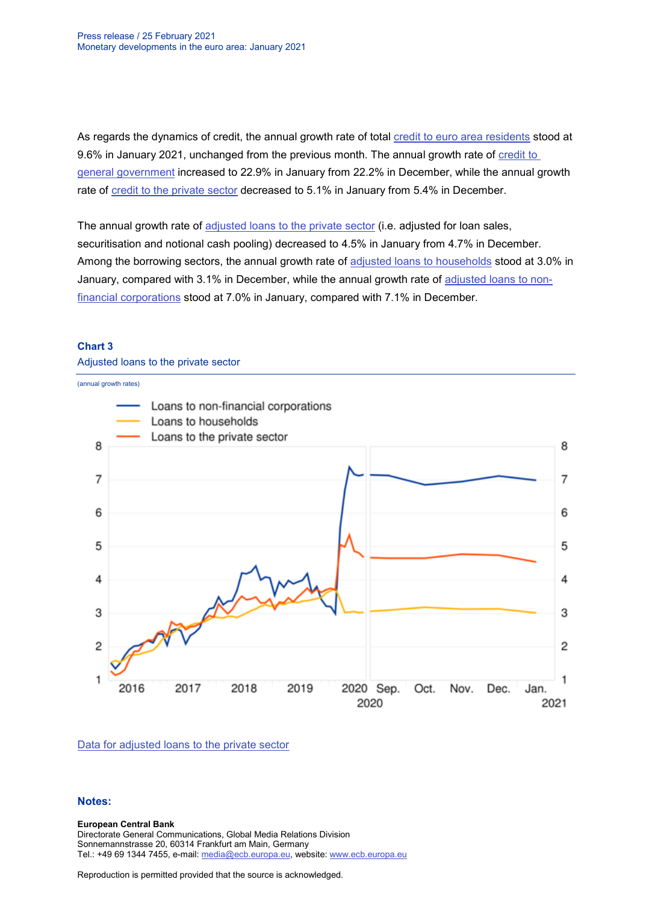As regards the dynamics of credit, the annual growth rate of total [credit to euro area residents](http://sdw.ecb.europa.eu/browseSelection.do?type=series&q=BSI.M.U2.Y.U.AT2.A.I.U2.2000.Z01.A&node=SEARCHRESULTS) stood at 9.6% in January 2021, unchanged from the previous month. The annual growth rate of credit to [general government](http://sdw.ecb.europa.eu/browseSelection.do?type=series&q=BSI.M.U2.Y.U.AT2.A.I.U2.2100.Z01.A&node=SEARCHRESULTS) increased to 22.9% in January from 22.2% in December, while the annual growth rate of [credit to the private sector](http://sdw.ecb.europa.eu/browseSelection.do?type=series&q=BSI.M.U2.Y.U.AT2.A.I.U2.2200.Z01.A&node=SEARCHRESULTS) decreased to 5.1% in January from 5.4% in December.

The annual growth rate of [adjusted loans to the private sector](http://sdw.ecb.europa.eu/browseSelection.do?type=series&q=BSI.M.U2.Y.U.A20TA.A.I.U2.2200.Z01.A&node=SEARCHRESULTS) (i.e. adjusted for loan sales, securitisation and notional cash pooling) decreased to 4.5% in January from 4.7% in December. Among the borrowing sectors, the annual growth rate of [adjusted loans to households](http://sdw.ecb.europa.eu/browseSelection.do?type=series&q=BSI.M.U2.Y.U.A20T.A.I.U2.2250.Z01.A&node=SEARCHRESULTS) stood at 3.0% in January, compared with 3.1% in December, while the annual growth rate of adjusted [loans to non](http://sdw.ecb.europa.eu/browseSelection.do?type=series&q=BSI.M.U2.Y.U.A20T.A.I.U2.2240.Z01.A&node=SEARCHRESULTS)[financial corporations](http://sdw.ecb.europa.eu/browseSelection.do?type=series&q=BSI.M.U2.Y.U.A20T.A.I.U2.2240.Z01.A&node=SEARCHRESULTS) stood at 7.0% in January, compared with 7.1% in December.

#### **Chart 3**

Adjusted loans to the private sector



[Data for adjusted loans to the private sector](http://sdw.ecb.europa.eu/browseSelection.do?type=series&q=BSI.M.U2.Y.U.A20TA.A.I.U2.2200.Z01.A+BSI.M.U2.Y.U.A20T.A.I.U2.2250.Z01.A+BSI.M.U2.Y.U.A20T.A.I.U2.2240.Z01.A&node=SEARCHRESULTS)

#### **Notes:**

#### **European Central Bank**

Directorate General Communications, Global Media Relations Division Sonnemannstrasse 20, 60314 Frankfurt am Main, Germany Tel.: +49 69 1344 7455, e-mail: [media@ecb.europa.eu,](mailto:media@ecb.europa.eu) website: [www.ecb.europa.eu](http://www.ecb.europa.eu/)

Reproduction is permitted provided that the source is acknowledged.